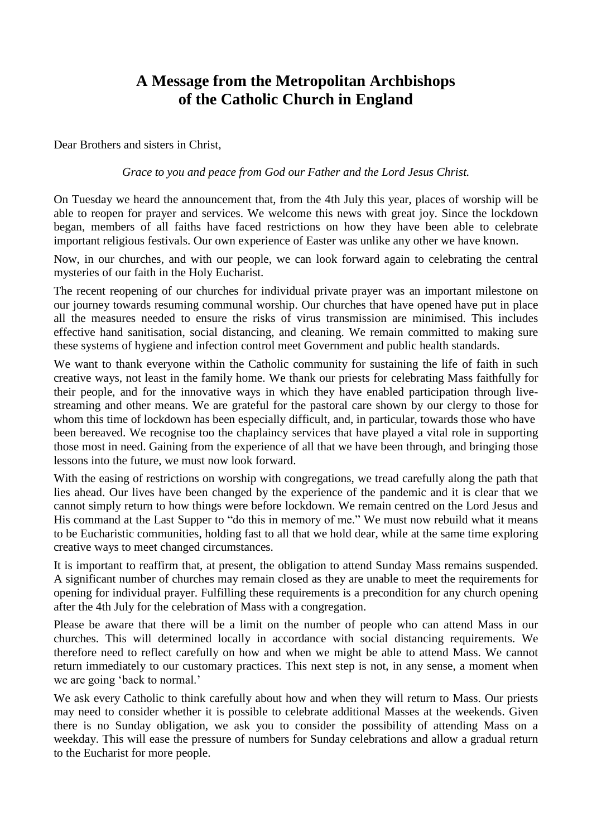## **A Message from the Metropolitan Archbishops of the Catholic Church in England**

Dear Brothers and sisters in Christ,

## *Grace to you and peace from God our Father and the Lord Jesus Christ.*

On Tuesday we heard the announcement that, from the 4th July this year, places of worship will be able to reopen for prayer and services. We welcome this news with great joy. Since the lockdown began, members of all faiths have faced restrictions on how they have been able to celebrate important religious festivals. Our own experience of Easter was unlike any other we have known.

Now, in our churches, and with our people, we can look forward again to celebrating the central mysteries of our faith in the Holy Eucharist.

The recent reopening of our churches for individual private prayer was an important milestone on our journey towards resuming communal worship. Our churches that have opened have put in place all the measures needed to ensure the risks of virus transmission are minimised. This includes effective hand sanitisation, social distancing, and cleaning. We remain committed to making sure these systems of hygiene and infection control meet Government and public health standards.

We want to thank everyone within the Catholic community for sustaining the life of faith in such creative ways, not least in the family home. We thank our priests for celebrating Mass faithfully for their people, and for the innovative ways in which they have enabled participation through livestreaming and other means. We are grateful for the pastoral care shown by our clergy to those for whom this time of lockdown has been especially difficult, and, in particular, towards those who have been bereaved. We recognise too the chaplaincy services that have played a vital role in supporting those most in need. Gaining from the experience of all that we have been through, and bringing those lessons into the future, we must now look forward.

With the easing of restrictions on worship with congregations, we tread carefully along the path that lies ahead. Our lives have been changed by the experience of the pandemic and it is clear that we cannot simply return to how things were before lockdown. We remain centred on the Lord Jesus and His command at the Last Supper to "do this in memory of me." We must now rebuild what it means to be Eucharistic communities, holding fast to all that we hold dear, while at the same time exploring creative ways to meet changed circumstances.

It is important to reaffirm that, at present, the obligation to attend Sunday Mass remains suspended. A significant number of churches may remain closed as they are unable to meet the requirements for opening for individual prayer. Fulfilling these requirements is a precondition for any church opening after the 4th July for the celebration of Mass with a congregation.

Please be aware that there will be a limit on the number of people who can attend Mass in our churches. This will determined locally in accordance with social distancing requirements. We therefore need to reflect carefully on how and when we might be able to attend Mass. We cannot return immediately to our customary practices. This next step is not, in any sense, a moment when we are going 'back to normal.'

We ask every Catholic to think carefully about how and when they will return to Mass. Our priests may need to consider whether it is possible to celebrate additional Masses at the weekends. Given there is no Sunday obligation, we ask you to consider the possibility of attending Mass on a weekday. This will ease the pressure of numbers for Sunday celebrations and allow a gradual return to the Eucharist for more people.